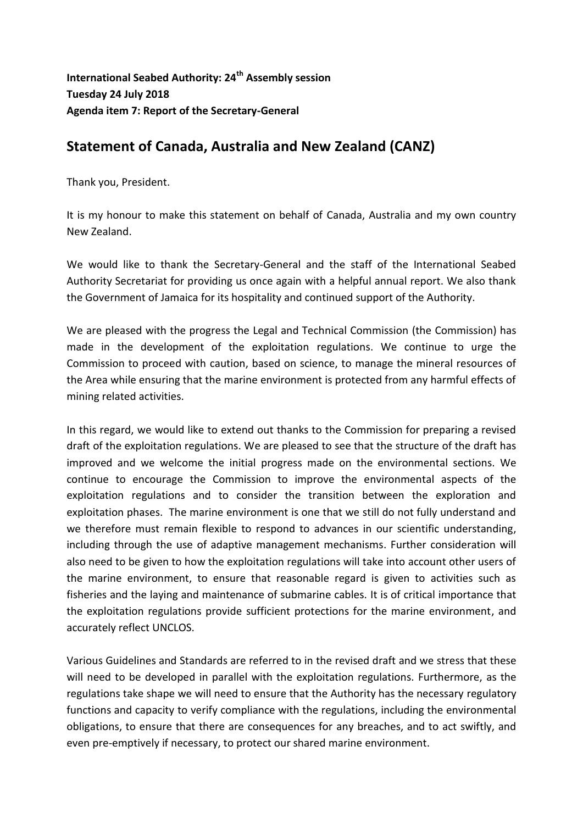**International Seabed Authority: 24th Assembly session Tuesday 24 July 2018 Agenda item 7: Report of the Secretary-General**

## **Statement of Canada, Australia and New Zealand (CANZ)**

Thank you, President.

It is my honour to make this statement on behalf of Canada, Australia and my own country New Zealand.

We would like to thank the Secretary-General and the staff of the International Seabed Authority Secretariat for providing us once again with a helpful annual report. We also thank the Government of Jamaica for its hospitality and continued support of the Authority.

We are pleased with the progress the Legal and Technical Commission (the Commission) has made in the development of the exploitation regulations. We continue to urge the Commission to proceed with caution, based on science, to manage the mineral resources of the Area while ensuring that the marine environment is protected from any harmful effects of mining related activities.

In this regard, we would like to extend out thanks to the Commission for preparing a revised draft of the exploitation regulations. We are pleased to see that the structure of the draft has improved and we welcome the initial progress made on the environmental sections. We continue to encourage the Commission to improve the environmental aspects of the exploitation regulations and to consider the transition between the exploration and exploitation phases. The marine environment is one that we still do not fully understand and we therefore must remain flexible to respond to advances in our scientific understanding, including through the use of adaptive management mechanisms. Further consideration will also need to be given to how the exploitation regulations will take into account other users of the marine environment, to ensure that reasonable regard is given to activities such as fisheries and the laying and maintenance of submarine cables. It is of critical importance that the exploitation regulations provide sufficient protections for the marine environment, and accurately reflect UNCLOS.

Various Guidelines and Standards are referred to in the revised draft and we stress that these will need to be developed in parallel with the exploitation regulations. Furthermore, as the regulations take shape we will need to ensure that the Authority has the necessary regulatory functions and capacity to verify compliance with the regulations, including the environmental obligations, to ensure that there are consequences for any breaches, and to act swiftly, and even pre-emptively if necessary, to protect our shared marine environment.